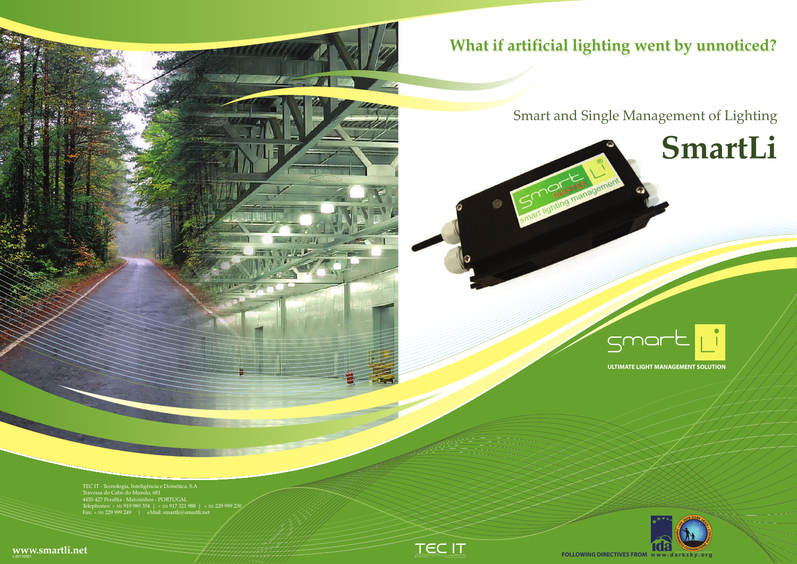

TEC IT - Tecnologia, Inteligência e Domótica, S.A<br>Travessa do Cabo do Mundo, 681<br>4455-427 Perafita - Matosinhos - PORTUGAL<br>Telephones: + 351 919 989 354 | + 351 917 321 988 | + 351 229 999 230<br>Fax: + 351 229 999 249 | eMai

**ULTIMATE LIGHT MANAGEMENT SOLUTION**



**FOLLOWING DIRECTIVES FROM www.darks** 

## **What if artificial lighting went by unnoticed?**

# Smart and Single Management of Lighting**SmartLi**